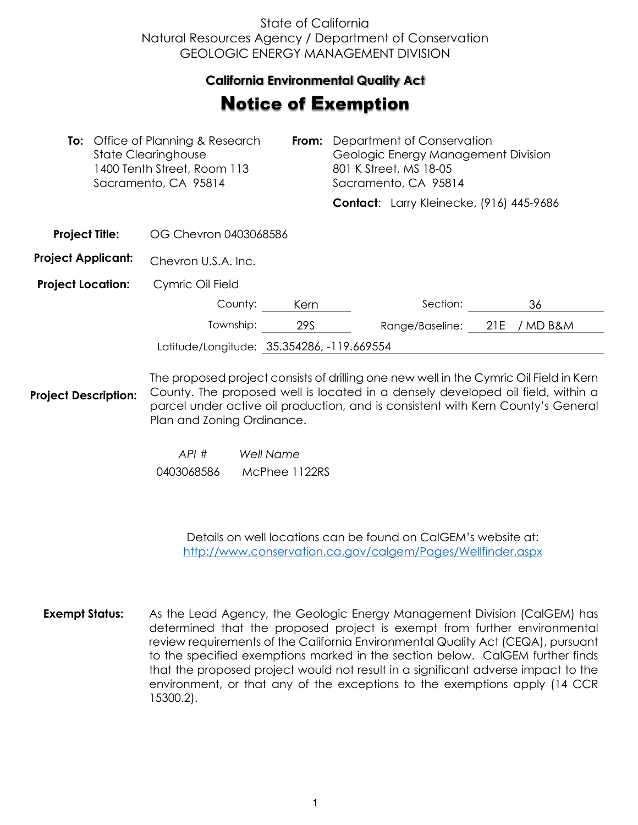## State of California Natural Resources Agency / Department of Conservation GEOLOGIC ENERGY MANAGEMENT DIVISION

## **California Environmental Quality Act**

## Notice of Exemption

| <b>To:</b> Office of Planning & Research<br><b>State Clearinghouse</b><br>1400 Tenth Street, Room 113<br>Sacramento, CA 95814 |  | From:                                                                                  | Department of Conservation<br>Geologic Energy Management Division<br>801 K Street, MS 18-05<br>Sacramento, CA 95814 |  |                                          |     |          |  |
|-------------------------------------------------------------------------------------------------------------------------------|--|----------------------------------------------------------------------------------------|---------------------------------------------------------------------------------------------------------------------|--|------------------------------------------|-----|----------|--|
|                                                                                                                               |  |                                                                                        |                                                                                                                     |  | Contact: Larry Kleinecke, (916) 445-9686 |     |          |  |
| <b>Project Title:</b>                                                                                                         |  | OG Chevron 0403068586                                                                  |                                                                                                                     |  |                                          |     |          |  |
| <b>Project Applicant:</b>                                                                                                     |  | Chevron U.S.A. Inc.                                                                    |                                                                                                                     |  |                                          |     |          |  |
| <b>Project Location:</b>                                                                                                      |  | Cymric Oil Field                                                                       |                                                                                                                     |  |                                          |     |          |  |
|                                                                                                                               |  | County:                                                                                | Kern                                                                                                                |  | Section:                                 |     | 36       |  |
|                                                                                                                               |  | Township:                                                                              | 29S                                                                                                                 |  | Range/Baseline:                          | 21E | / MD B&M |  |
| Latitude/Longitude: 35.354286, -119.669554                                                                                    |  |                                                                                        |                                                                                                                     |  |                                          |     |          |  |
|                                                                                                                               |  | The proposed project consists of drilling one new well in the Cymric Oil Field in Kern |                                                                                                                     |  |                                          |     |          |  |

**Project Description:** County. The proposed well is located in a densely developed oil field, within a parcel under active oil production, and is consistent with Kern County's General Plan and Zoning Ordinance.

> *API # Well Name*  0403068586 McPhee 1122RS

> > Details on well locations can be found on CalGEM's website at: <http://www.conservation.ca.gov/calgem/Pages/Wellfinder.aspx>

**Exempt Status:** As the Lead Agency, the Geologic Energy Management Division (CalGEM) has determined that the proposed project is exempt from further environmental review requirements of the California Environmental Quality Act (CEQA), pursuant to the specified exemptions marked in the section below. CalGEM further finds that the proposed project would not result in a significant adverse impact to the environment, or that any of the exceptions to the exemptions apply (14 CCR 15300.2).